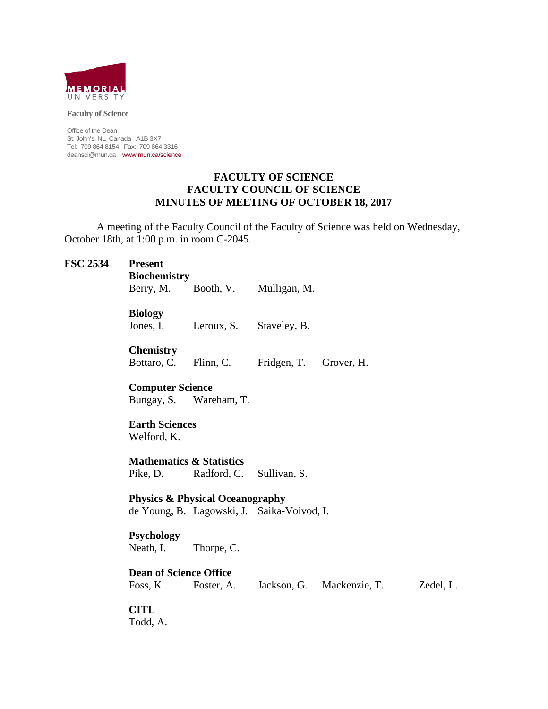

**Faculty of Science** 

Office of the Dean St. John's, NL Canada A1B 3X7 Tel: 709 864 8154 Fax: 709 864 3316 deansci@mun.ca www.mun.ca/science

#### **FACULTY OF SCIENCE FACULTY COUNCIL OF SCIENCE MINUTES OF MEETING OF OCTOBER 18, 2017**

 A meeting of the Faculty Council of the Faculty of Science was held on Wednesday, October 18th, at 1:00 p.m. in room C-2045.

#### **FSC 2534 Present**

 **Biochemistry** 

Berry, M. Booth, V. Mulligan, M.

**Biology** 

Jones, I. Leroux, S. Staveley, B.

**Chemistry** 

Bottaro, C. Flinn, C. Fridgen, T. Grover, H.

 **Computer Science** Bungay, S. Wareham, T.

 **Earth Sciences**  Welford, K.

 **Mathematics & Statistics**  Pike, D. Radford, C. Sullivan, S.

 **Physics & Physical Oceanography** de Young, B. Lagowski, J. Saika-Voivod, I.

**Psychology** 

Neath, I. Thorpe, C.

**Dean of Science Office**

Foss, K. Foster, A. Jackson, G. Mackenzie, T. Zedel, L.

**CITL** 

Todd, A.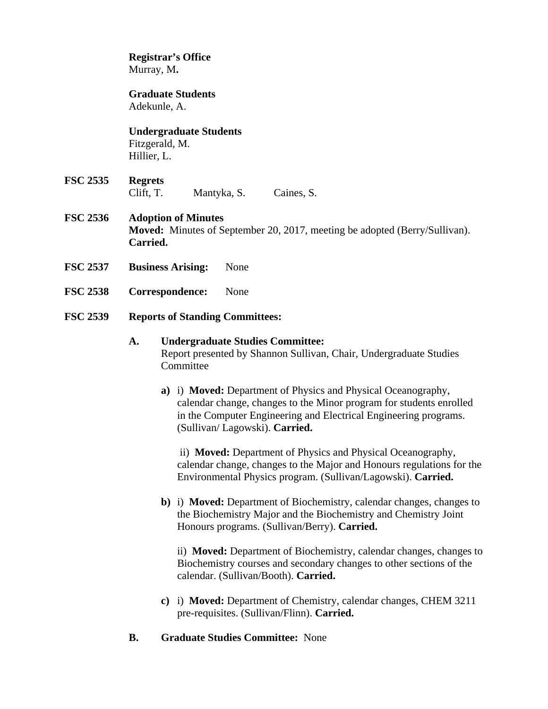**Registrar's Office**  Murray, M**.** 

 **Graduate Students** Adekunle, A.

 **Undergraduate Students**  Fitzgerald, M. Hillier, L.

**FSC 2535 Regrets** Clift, T. Mantyka, S. Caines, S.

#### **FSC 2536 Adoption of Minutes Moved:** Minutes of September 20, 2017, meeting be adopted (Berry/Sullivan). **Carried.**

- **FSC 2537 Business Arising:** None
- **FSC 2538 Correspondence:** None
- **FSC 2539 Reports of Standing Committees:**

#### **A. Undergraduate Studies Committee:**  Report presented by Shannon Sullivan, Chair, Undergraduate Studies **Committee**

**a)** i) **Moved:** Department of Physics and Physical Oceanography, calendar change, changes to the Minor program for students enrolled in the Computer Engineering and Electrical Engineering programs. (Sullivan/ Lagowski). **Carried.** 

 ii) **Moved:** Department of Physics and Physical Oceanography, calendar change, changes to the Major and Honours regulations for the Environmental Physics program. (Sullivan/Lagowski). **Carried.**

**b)** i) **Moved:** Department of Biochemistry, calendar changes, changes to the Biochemistry Major and the Biochemistry and Chemistry Joint Honours programs. (Sullivan/Berry). **Carried.**

ii) **Moved:** Department of Biochemistry, calendar changes, changes to Biochemistry courses and secondary changes to other sections of the calendar. (Sullivan/Booth). **Carried.** 

- **c)** i) **Moved:** Department of Chemistry, calendar changes, CHEM 3211 pre-requisites. (Sullivan/Flinn). **Carried.**
- **B. Graduate Studies Committee:** None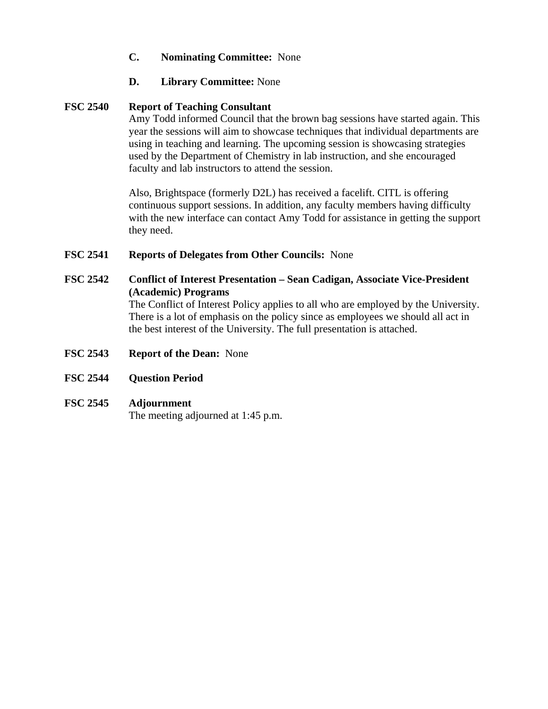- **C. Nominating Committee:** None
- **D. Library Committee:** None

#### **FSC 2540 Report of Teaching Consultant**

Amy Todd informed Council that the brown bag sessions have started again. This year the sessions will aim to showcase techniques that individual departments are using in teaching and learning. The upcoming session is showcasing strategies used by the Department of Chemistry in lab instruction, and she encouraged faculty and lab instructors to attend the session.

 Also, Brightspace (formerly D2L) has received a facelift. CITL is offering continuous support sessions. In addition, any faculty members having difficulty with the new interface can contact Amy Todd for assistance in getting the support they need.

#### **FSC 2541 Reports of Delegates from Other Councils:** None

#### **FSC 2542 Conflict of Interest Presentation – Sean Cadigan, Associate Vice-President (Academic) Programs**

The Conflict of Interest Policy applies to all who are employed by the University. There is a lot of emphasis on the policy since as employees we should all act in the best interest of the University. The full presentation is attached.

- **FSC 2543 Report of the Dean:** None
- **FSC 2544 Question Period**

#### **FSC 2545 Adjournment**

The meeting adjourned at 1:45 p.m.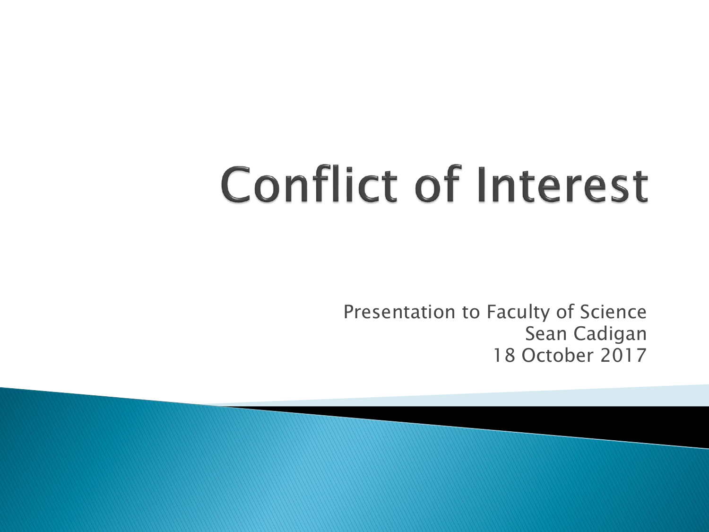# **Conflict of Interest**

Presentation to Faculty of Science Sean Cadigan 18 October 2017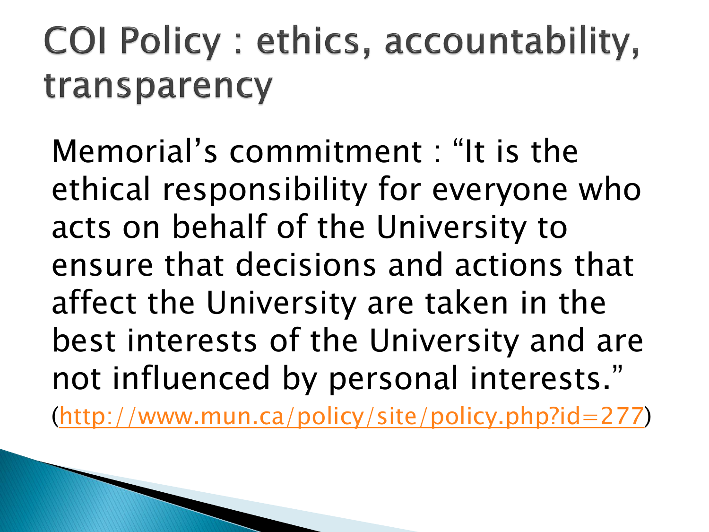### COI Policy : ethics, accountability, transparency

Memorial's commitment : "It is the ethical responsibility for everyone who acts on behalf of the University to ensure that decisions and actions that affect the University are taken in the best interests of the University and are not influenced by personal interests."

([http://www.mun.ca/policy/site/policy.php?id=277\)](http://www.mun.ca/policy/site/policy.php?id=277)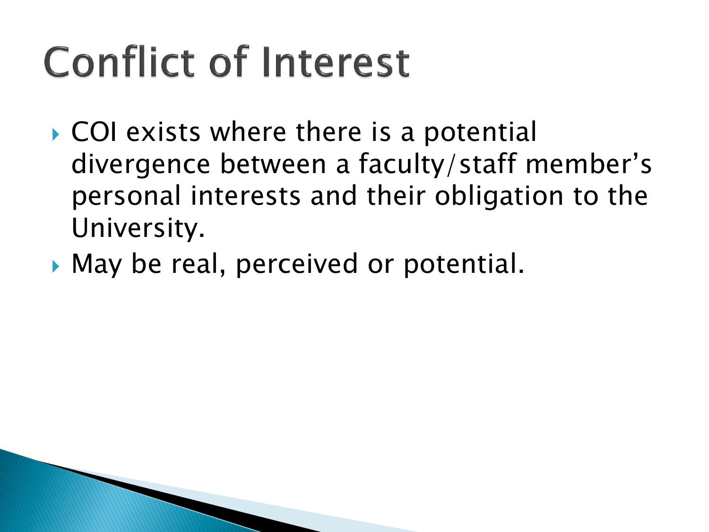### **Conflict of Interest**

- ▶ COI exists where there is a potential divergence between a faculty/staff member's personal interests and their obligation to the University.
- May be real, perceived or potential.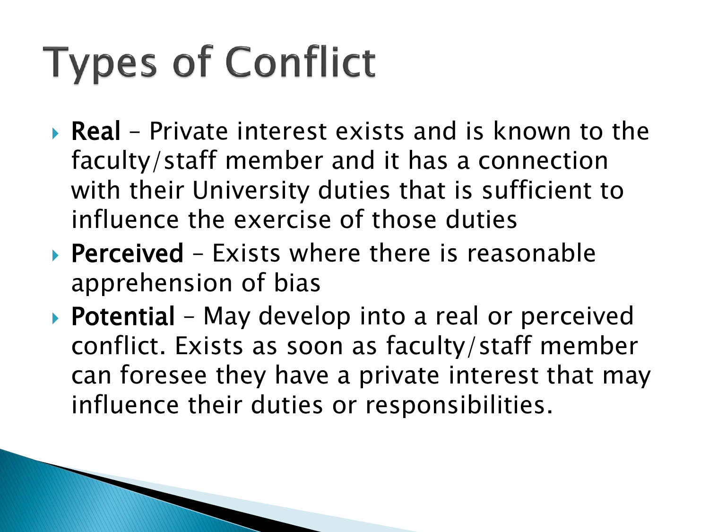## **Types of Conflict**

- Real Private interest exists and is known to the faculty/staff member and it has a connection with their University duties that is sufficient to influence the exercise of those duties
- **Perceived** Exists where there is reasonable apprehension of bias
- ▶ Potential May develop into a real or perceived conflict. Exists as soon as faculty/staff member can foresee they have a private interest that may influence their duties or responsibilities.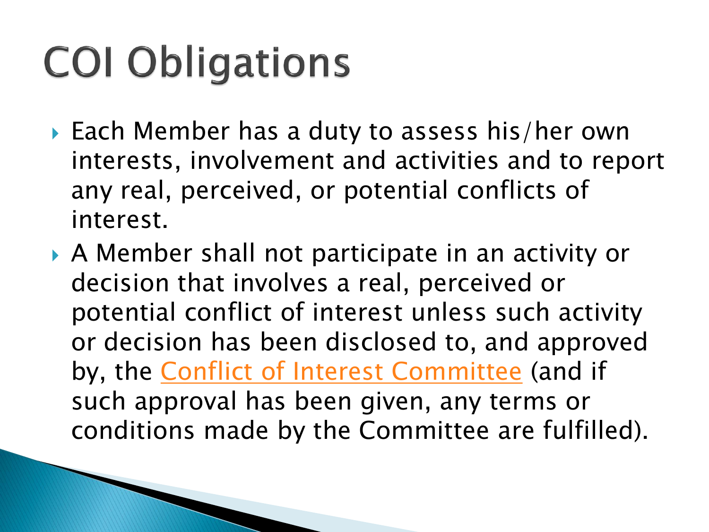## **COI Obligations**

- ▶ Each Member has a duty to assess his/her own interests, involvement and activities and to report any real, perceived, or potential conflicts of interest.
- A Member shall not participate in an activity or decision that involves a real, perceived or potential conflict of interest unless such activity or decision has been disclosed to, and approved by, the [Conflict of Interest Committee](http://www.mun.ca/policy/site/uploads/Terms of Reference - University COI Committee.pdf) (and if such approval has been given, any terms or conditions made by the Committee are fulfilled).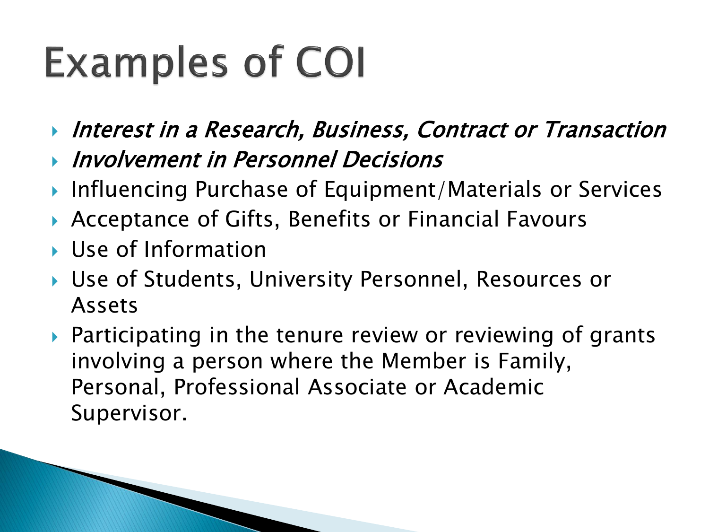### **Examples of COI**

- **Interest in a Research, Business, Contract or Transaction**
- Involvement in Personnel Decisions
- ▶ Influencing Purchase of Equipment/Materials or Services
- Acceptance of Gifts, Benefits or Financial Favours
- Use of Information
- Use of Students, University Personnel, Resources or Assets
- ▶ Participating in the tenure review or reviewing of grants involving a person where the Member is Family, Personal, Professional Associate or Academic Supervisor.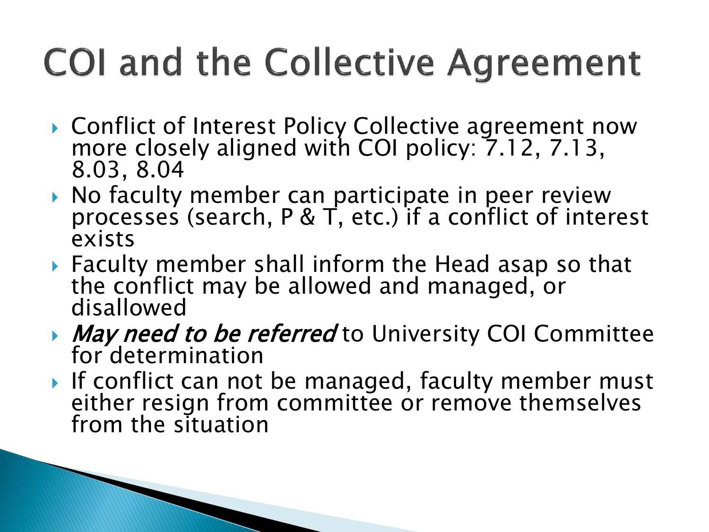### **COI and the Collective Agreement**

- ▶ Conflict of Interest Policy Collective agreement now more closely aligned with COI policy:  $7.12$ , 7.13, 8.03, 8.04
- ▶ No faculty member can participate in peer review processes (search, P & T, etc.) if a conflict of interest exists
- Faculty member shall inform the Head asap so that the conflict may be allowed and managed, or disallowed
- May need to be referred to University COI Committee for determination
- If conflict can not be managed, faculty member must either resign from committee or remove themselves from the situation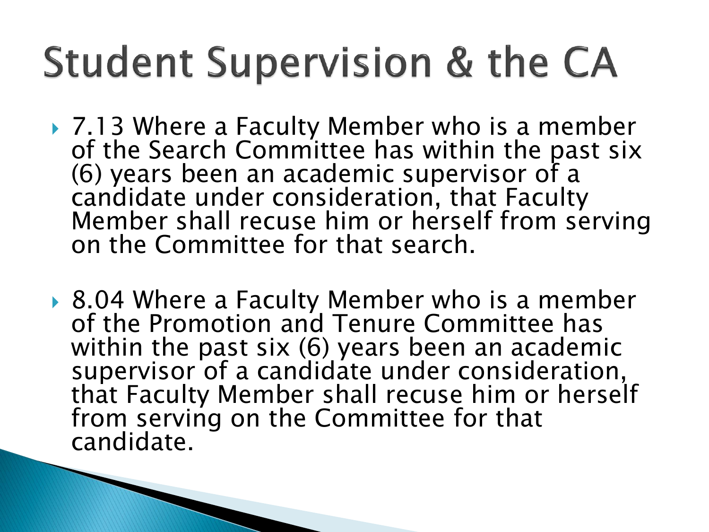### **Student Supervision & the CA**

- ▶ 7.13 Where a Faculty Member who is a member of the Search Committee has within the past six (6) years been an academic supervisor of a candidate under consideration, that Faculty Member shall recuse him or herself from serving on the Committee for that search.
- ▶ 8.04 Where a Faculty Member who is a member of the Promotion and Tenure Committee has within the past six (6) years been an academic supervisor of a candidate under consideration, that Faculty Member shall recuse him or herself from serving on the Committee for that candidate.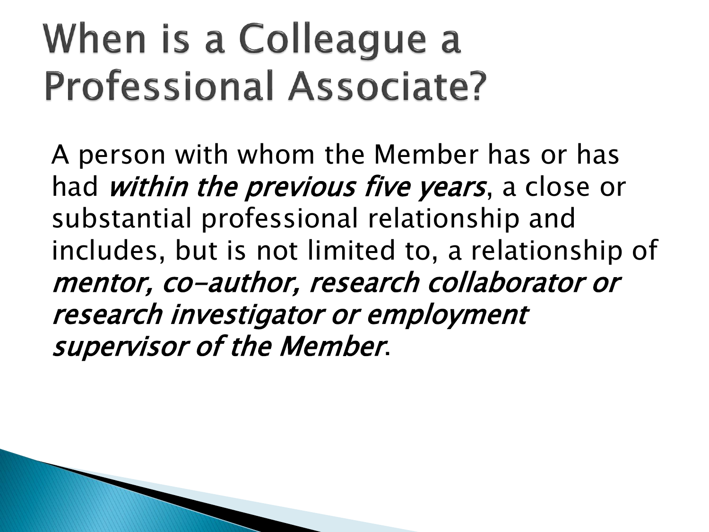### When is a Colleague a **Professional Associate?**

A person with whom the Member has or has had *within the previous five years*, a close or substantial professional relationship and includes, but is not limited to, a relationship of mentor, co-author, research collaborator or research investigator or employment supervisor of the Member.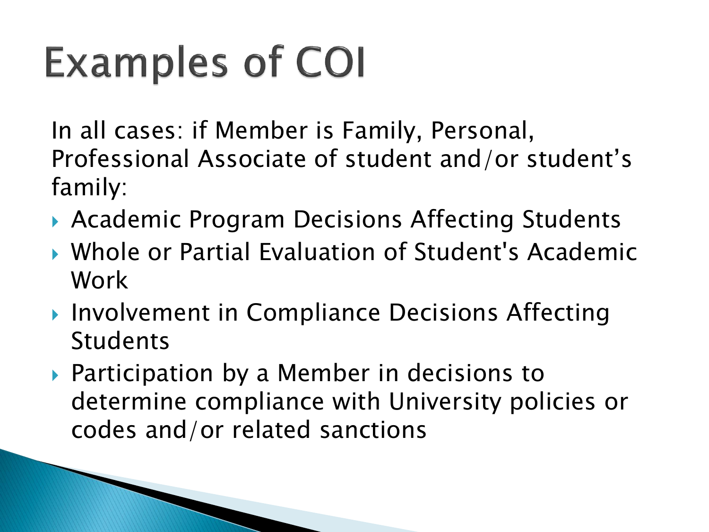## **Examples of COI**

In all cases: if Member is Family, Personal, Professional Associate of student and/or student's family:

- ▶ Academic Program Decisions Affecting Students
- Whole or Partial Evaluation of Student's Academic Work
- ▶ Involvement in Compliance Decisions Affecting Students
- ▶ Participation by a Member in decisions to determine compliance with University policies or codes and/or related sanctions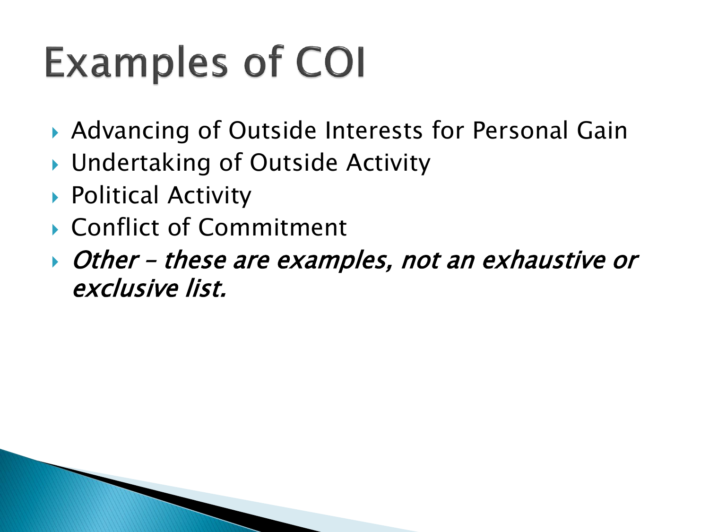### **Examples of COI**

- ▶ Advancing of Outside Interests for Personal Gain
- ▶ Undertaking of Outside Activity
- ▶ Political Activity
- ▶ Conflict of Commitment
- Other these are examples, not an exhaustive or exclusive list.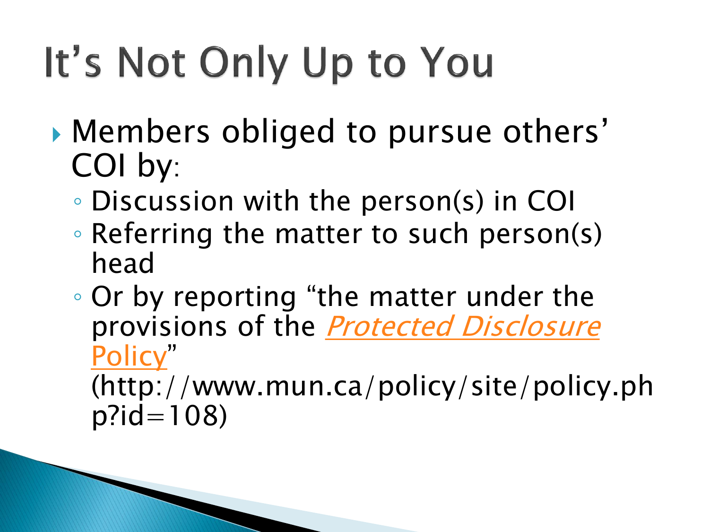## It's Not Only Up to You

- Members obliged to pursue others' COI by:
	- Discussion with the person(s) in COI
	- Referring the matter to such person(s) head
	- Or by reporting "the matter under the provisions of the **[Protected Disclosure](http://www.mun.ca/policy/site/policy.php?id=108)** Policy"

(http://www.mun.ca/policy/site/policy.ph p?id=108)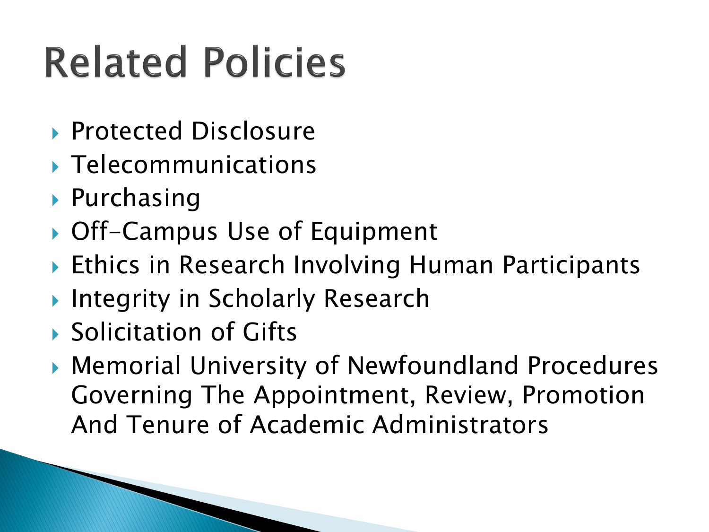## **Related Policies**

- ▶ Protected Disclosure
- **Telecommunications**
- ▶ Purchasing
- ▶ Off-Campus Use of Equipment
- ▶ Ethics in Research Involving Human Participants
- **Integrity in Scholarly Research**
- ▶ Solicitation of Gifts
- Memorial University of Newfoundland Procedures Governing The Appointment, Review, Promotion And Tenure of Academic Administrators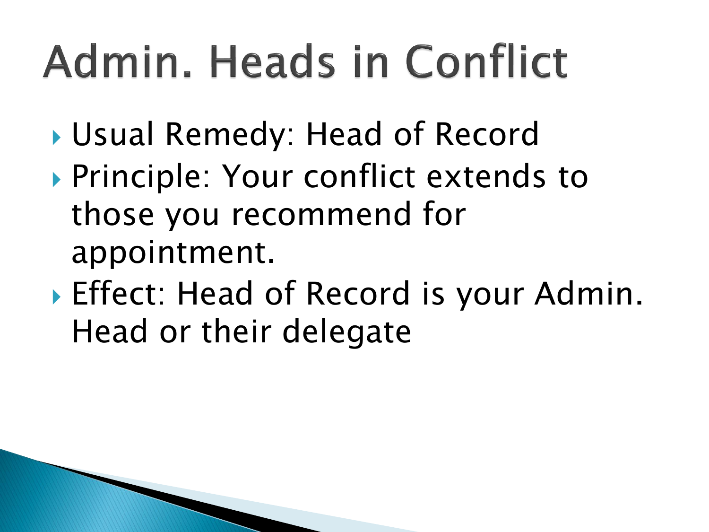# Admin, Heads in Conflict

- Usual Remedy: Head of Record
- ▶ Principle: Your conflict extends to those you recommend for appointment.
- Effect: Head of Record is your Admin. Head or their delegate